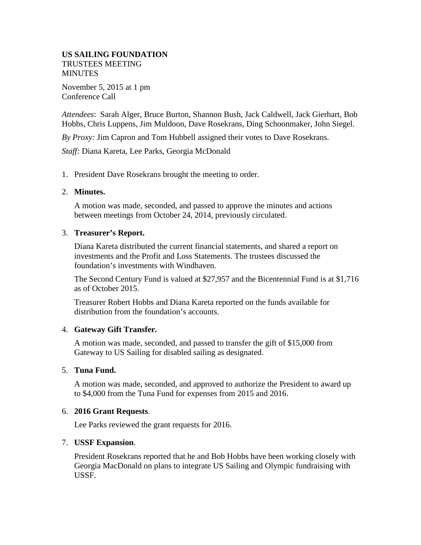## **US SAILING FOUNDATION** TRUSTEES MEETING **MINUTES**

November 5, 2015 at 1 pm Conference Call

*Attendees*: Sarah Alger, Bruce Burton, Shannon Bush, Jack Caldwell, Jack Gierhart, Bob Hobbs, Chris Luppens, Jim Muldoon, Dave Rosekrans, Ding Schoonmaker, John Siegel.

*By Proxy:* Jim Capron and Tom Hubbell assigned their votes to Dave Rosekrans.

*Staff:* Diana Kareta, Lee Parks, Georgia McDonald

1. President Dave Rosekrans brought the meeting to order.

## 2. **Minutes.**

A motion was made, seconded, and passed to approve the minutes and actions between meetings from October 24, 2014, previously circulated.

## 3. **Treasurer's Report.**

Diana Kareta distributed the current financial statements, and shared a report on investments and the Profit and Loss Statements. The trustees discussed the foundation's investments with Windhaven.

The Second Century Fund is valued at \$27,957 and the Bicentennial Fund is at \$1,716 as of October 2015.

Treasurer Robert Hobbs and Diana Kareta reported on the funds available for distribution from the foundation's accounts.

### 4. **Gateway Gift Transfer.**

A motion was made, seconded, and passed to transfer the gift of \$15,000 from Gateway to US Sailing for disabled sailing as designated.

### 5. **Tuna Fund.**

A motion was made, seconded, and approved to authorize the President to award up to \$4,000 from the Tuna Fund for expenses from 2015 and 2016.

# 6. **2016 Grant Requests**.

Lee Parks reviewed the grant requests for 2016.

# 7. **USSF Expansion**.

President Rosekrans reported that he and Bob Hobbs have been working closely with Georgia MacDonald on plans to integrate US Sailing and Olympic fundraising with USSF.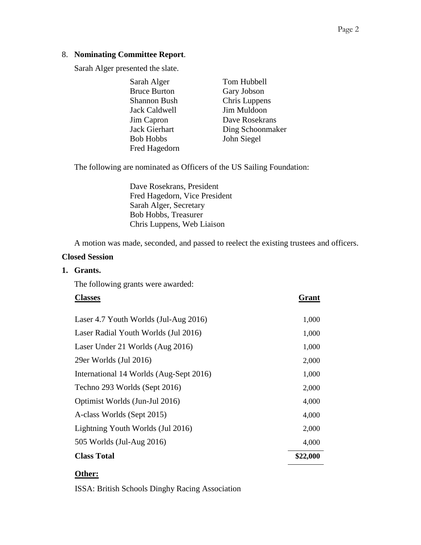# 8. **Nominating Committee Report**.

Sarah Alger presented the slate.

| Sarah Alger         | Tom Hubbell      |
|---------------------|------------------|
| <b>Bruce Burton</b> | Gary Jobson      |
| Shannon Bush        | Chris Luppens    |
| Jack Caldwell       | Jim Muldoon      |
| Jim Capron          | Dave Rosekrans   |
| Jack Gierhart       | Ding Schoonmaker |
| <b>Bob Hobbs</b>    | John Siegel      |
| Fred Hagedorn       |                  |

The following are nominated as Officers of the US Sailing Foundation:

Dave Rosekrans, President Fred Hagedorn, Vice President Sarah Alger, Secretary Bob Hobbs, Treasurer Chris Luppens, Web Liaison

A motion was made, seconded, and passed to reelect the existing trustees and officers.

## **Closed Session**

**1. Grants.**

The following grants were awarded:

| <b>Classes</b>                          | Grant    |
|-----------------------------------------|----------|
|                                         |          |
| Laser 4.7 Youth Worlds (Jul-Aug 2016)   | 1,000    |
| Laser Radial Youth Worlds (Jul 2016)    | 1,000    |
| Laser Under 21 Worlds (Aug 2016)        | 1,000    |
| 29er Worlds (Jul 2016)                  | 2,000    |
| International 14 Worlds (Aug-Sept 2016) | 1,000    |
| Techno 293 Worlds (Sept 2016)           | 2,000    |
| Optimist Worlds (Jun-Jul 2016)          | 4,000    |
| A-class Worlds (Sept 2015)              | 4,000    |
| Lightning Youth Worlds (Jul 2016)       | 2,000    |
| 505 Worlds (Jul-Aug 2016)               | 4,000    |
| <b>Class Total</b>                      | \$22,000 |

# **Other:**

ISSA: British Schools Dinghy Racing Association